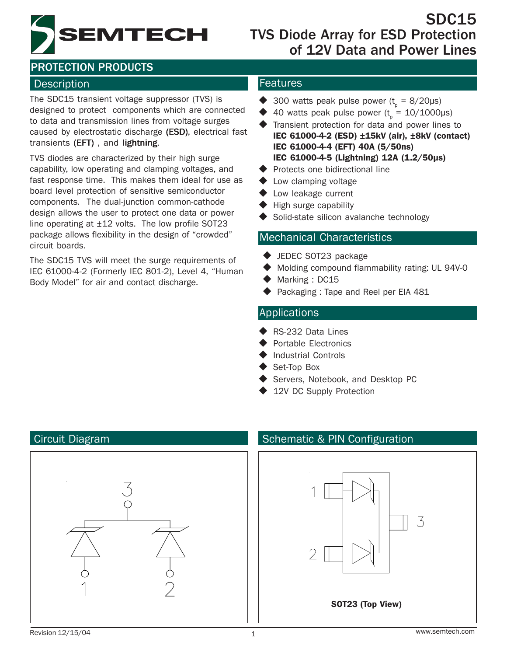

# SDC15<br> **PRODUCTS**TVS Diode Array for ESD Protection<br>
of 12V Data and Power Lines TVS Diode Array for ESD Protection of 12V Data and Power Lines

# PROTECTION PRODUCTS

#### Description **Features**

The SDC15 transient voltage suppressor (TVS) is designed to protect components which are connected to data and transmission lines from voltage surges caused by electrostatic discharge (ESD), electrical fast transients (EFT), and lightning.

TVS diodes are characterized by their high surge capability, low operating and clamping voltages, and fast response time. This makes them ideal for use as board level protection of sensitive semiconductor components. The dual-junction common-cathode design allows the user to protect one data or power line operating at  $\pm 12$  volts. The low profile SOT23 package allows flexibility in the design of "crowded" circuit boards.

The SDC15 TVS will meet the surge requirements of IEC 61000-4-2 (Formerly IEC 801-2), Level 4, "Human Body Model" for air and contact discharge.

- ◆ 300 watts peak pulse power ( $t_p = 8/20 \mu s$ )
- $\blacklozenge$  40 watts peak pulse power ( $t_p = 10/1000 \mu s$ )
- Transient protection for data and power lines to IEC 61000-4-2 (ESD) ±15kV (air), ±8kV (contact) IEC 61000-4-4 (EFT) 40A (5/50ns) IEC 61000-4-5 (Lightning) 12A (1.2/50µs)
- $\blacklozenge$  Protects one bidirectional line
- **◆** Low clamping voltage
- ◆ Low leakage current
- High surge capability
- Solid-state silicon avalanche technology

#### Mechanical Characteristics

- ◆ JEDEC SOT23 package
- ◆ Molding compound flammability rating: UL 94V-0
- Marking : DC15
- Packaging : Tape and Reel per EIA 481

#### Applications

- ◆ RS-232 Data Lines
- Portable Electronics
- Industrial Controls
- Set-Top Box
- Servers, Notebook, and Desktop PC
- 12V DC Supply Protection



#### Circuit Diagram Schematic & PIN Configuration

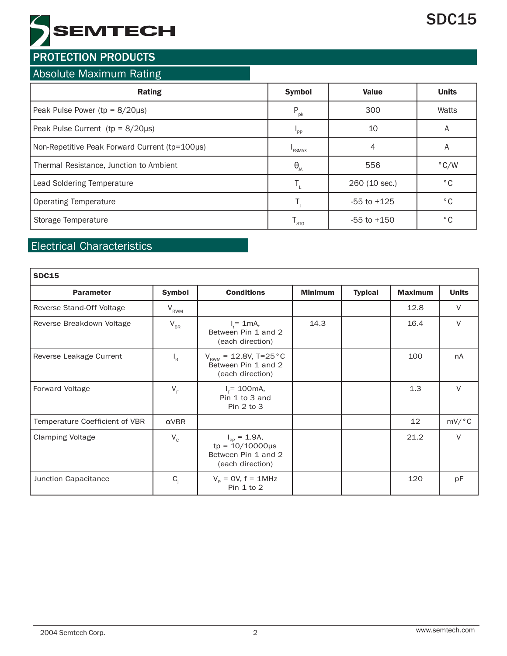# **SEMTECH**

# **PROTECTION PRODUCTS**

#### Absolute Maximum Rating

| <b>Rating</b>                                  | <b>Symbol</b>     | <b>Value</b>    | <b>Units</b>  |
|------------------------------------------------|-------------------|-----------------|---------------|
| Peak Pulse Power ( $tp = 8/20\mu s$ )          | $P_{\rm pk}$      | 300             | Watts         |
| Peak Pulse Current ( $tp = 8/20\mu s$ )        | "PP               | 10              | A             |
| Non-Repetitive Peak Forward Current (tp=100µs) | <b>FSMAX</b>      | 4               | A             |
| Thermal Resistance, Junction to Ambient        | $\Theta_{\rm JA}$ | 556             | $\degree$ C/W |
| Lead Soldering Temperature                     |                   | 260 (10 sec.)   | $^{\circ}$ C  |
| <b>Operating Temperature</b>                   |                   | $-55$ to $+125$ | °€            |
| Storage Temperature                            | <sup>I</sup> STG  | $-55$ to $+150$ | °€            |

# Electrical Characteristics

| <b>SDC15</b>                   |               |                                                                                              |                |                |                |              |  |  |
|--------------------------------|---------------|----------------------------------------------------------------------------------------------|----------------|----------------|----------------|--------------|--|--|
| <b>Parameter</b>               | <b>Symbol</b> | <b>Conditions</b>                                                                            | <b>Minimum</b> | <b>Typical</b> | <b>Maximum</b> | <b>Units</b> |  |  |
| Reverse Stand-Off Voltage      | $V_{RWM}$     |                                                                                              |                |                | 12.8           | $\vee$       |  |  |
| Reverse Breakdown Voltage      | $V_{BR}$      | $I_t = 1mA,$<br>Between Pin 1 and 2<br>(each direction)                                      | 14.3           |                | 16.4           | $\vee$       |  |  |
| Reverse Leakage Current        | $I_R$         | $V_{\text{RWM}} = 12.8V, T=25\degree C$<br>Between Pin 1 and 2<br>(each direction)           |                |                | 100            | nA           |  |  |
| <b>Forward Voltage</b>         | $V_F$         | $I_{F} = 100 \text{mA}$ ,<br>Pin 1 to 3 and<br>Pin 2 to 3                                    |                |                | 1.3            | $\vee$       |  |  |
| Temperature Coefficient of VBR | $\alpha$ VBR  |                                                                                              |                |                | 12             | mV/°C        |  |  |
| <b>Clamping Voltage</b>        | $V_c$         | $I_{\text{pp}} = 1.9A$ ,<br>$tp = 10/10000 \mu s$<br>Between Pin 1 and 2<br>(each direction) |                |                | 21.2           | $\vee$       |  |  |
| Junction Capacitance           | $C_i$         | $V_{\rm R}$ = OV, f = 1MHz<br>Pin 1 to 2                                                     |                |                | 120            | pF           |  |  |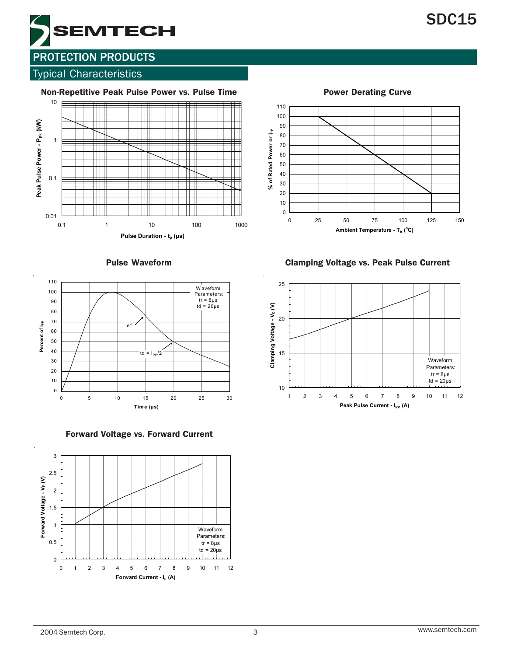

#### Typical Characteristics







Forward Voltage vs. Forward Current

100 90 % of Rated Power or lpp **% of Rated Power or Ipp** 80 70 60 50 40 30 20 10 0 0 25 50 75 100 125 150

Power Derating Curve

110

Pulse Waveform Clamping Voltage vs. Peak Pulse Current

**Ambient Temperature - T<sub>A</sub> (°C)** 

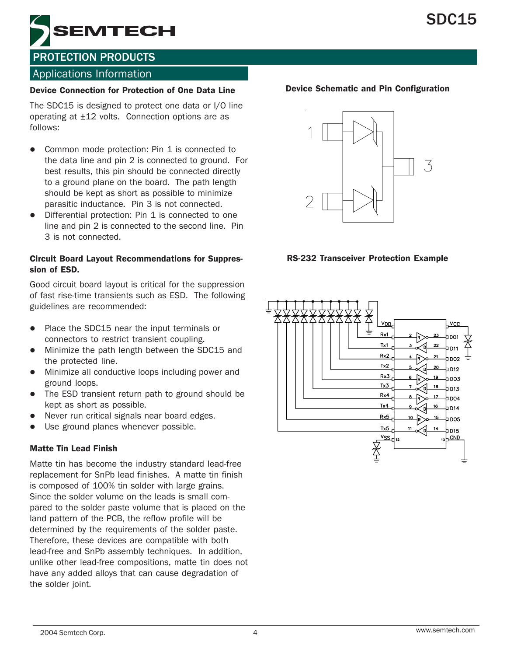

#### Applications Information

#### Device Connection for Protection of One Data Line

The SDC15 is designed to protect one data or I/O line operating at ±12 volts. Connection options are as follows:

- Common mode protection: Pin 1 is connected to the data line and pin 2 is connected to ground. For best results, this pin should be connected directly to a ground plane on the board. The path length should be kept as short as possible to minimize parasitic inductance. Pin 3 is not connected.
- Differential protection: Pin 1 is connected to one line and pin 2 is connected to the second line. Pin 3 is not connected.

#### Circuit Board Layout Recommendations for Suppression of ESD.

Good circuit board layout is critical for the suppression of fast rise-time transients such as ESD. The following guidelines are recommended:

- Place the SDC15 near the input terminals or connectors to restrict transient coupling.
- Minimize the path length between the SDC15 and the protected line.
- Minimize all conductive loops including power and ground loops.
- The ESD transient return path to ground should be kept as short as possible.
- Never run critical signals near board edges.
- Use ground planes whenever possible.

#### Matte Tin Lead Finish

Matte tin has become the industry standard lead-free replacement for SnPb lead finishes. A matte tin finish is composed of 100% tin solder with large grains. Since the solder volume on the leads is small compared to the solder paste volume that is placed on the land pattern of the PCB, the reflow profile will be determined by the requirements of the solder paste. Therefore, these devices are compatible with both lead-free and SnPb assembly techniques. In addition, unlike other lead-free compositions, matte tin does not have any added alloys that can cause degradation of the solder joint.

#### Device Schematic and Pin Configuration



#### RS-232 Transceiver Protection Example

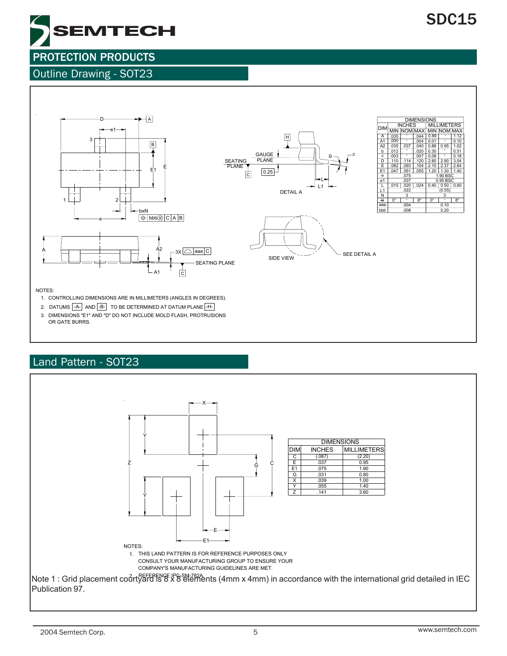

#### Outline Drawing - SOT23



#### Land Pattern - SOT23